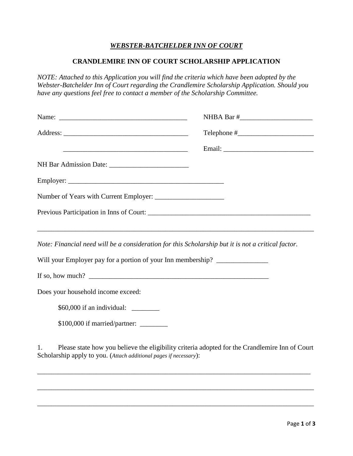## *WEBSTER-BATCHELDER INN OF COURT*

## **CRANDLEMIRE INN OF COURT SCHOLARSHIP APPLICATION**

*NOTE: Attached to this Application you will find the criteria which have been adopted by the Webster-Batchelder Inn of Court regarding the Crandlemire Scholarship Application. Should you have any questions feel free to contact a member of the Scholarship Committee.*

|                                                                                                                                                                                                                                                                                                                   | $\text{Telephone} \#$ |
|-------------------------------------------------------------------------------------------------------------------------------------------------------------------------------------------------------------------------------------------------------------------------------------------------------------------|-----------------------|
|                                                                                                                                                                                                                                                                                                                   |                       |
|                                                                                                                                                                                                                                                                                                                   |                       |
|                                                                                                                                                                                                                                                                                                                   |                       |
|                                                                                                                                                                                                                                                                                                                   |                       |
|                                                                                                                                                                                                                                                                                                                   |                       |
|                                                                                                                                                                                                                                                                                                                   |                       |
| Note: Financial need will be a consideration for this Scholarship but it is not a critical factor.                                                                                                                                                                                                                |                       |
| Will your Employer pay for a portion of your Inn membership? ___________________                                                                                                                                                                                                                                  |                       |
| If so, how much? $\frac{1}{2}$ $\frac{1}{2}$ $\frac{1}{2}$ $\frac{1}{2}$ $\frac{1}{2}$ $\frac{1}{2}$ $\frac{1}{2}$ $\frac{1}{2}$ $\frac{1}{2}$ $\frac{1}{2}$ $\frac{1}{2}$ $\frac{1}{2}$ $\frac{1}{2}$ $\frac{1}{2}$ $\frac{1}{2}$ $\frac{1}{2}$ $\frac{1}{2}$ $\frac{1}{2}$ $\frac{1}{2}$ $\frac{1}{2}$ $\frac{$ |                       |
| Does your household income exceed:                                                                                                                                                                                                                                                                                |                       |
| \$60,000 if an individual: _________                                                                                                                                                                                                                                                                              |                       |
| \$100,000 if married/partner: _______                                                                                                                                                                                                                                                                             |                       |
| Please state how you believe the eligibility criteria adopted for the Crandlemire Inn of Court<br>1.<br>Scholarship apply to you. (Attach additional pages if necessary):                                                                                                                                         |                       |

\_\_\_\_\_\_\_\_\_\_\_\_\_\_\_\_\_\_\_\_\_\_\_\_\_\_\_\_\_\_\_\_\_\_\_\_\_\_\_\_\_\_\_\_\_\_\_\_\_\_\_\_\_\_\_\_\_\_\_\_\_\_\_\_\_\_\_\_\_\_\_\_\_\_\_\_\_\_\_\_

\_\_\_\_\_\_\_\_\_\_\_\_\_\_\_\_\_\_\_\_\_\_\_\_\_\_\_\_\_\_\_\_\_\_\_\_\_\_\_\_\_\_\_\_\_\_\_\_\_\_\_\_\_\_\_\_\_\_\_\_\_\_\_\_\_\_\_\_\_\_\_\_\_\_\_\_\_\_\_\_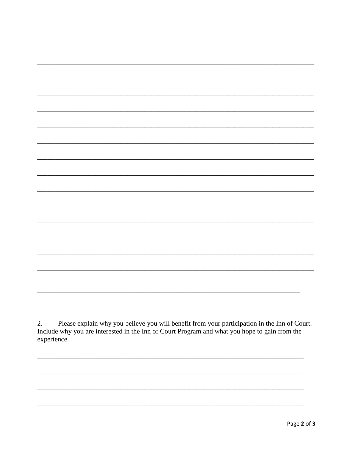Include why you are interested in the Inn of Court Program and what you hope to gain from the experience.